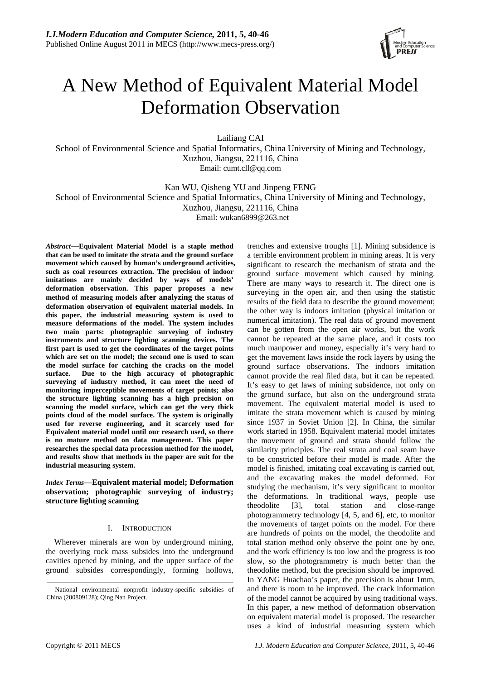

# A New Method of Equivalent Material Model Deformation Observation

Lailiang CAI

School of Environmental Science and Spatial Informatics, China University of Mining and Technology, Xuzhou, Jiangsu, 221116, China Email: cumt.cll@qq.com

Kan WU, Qisheng YU and Jinpeng FENG

School of Environmental Science and Spatial Informatics, China University of Mining and Technology,

Xuzhou, Jiangsu, 221116, China

Email: wukan6899@263.net

*Abstract*—**Equivalent Material Model is a staple method that can be used to imitate the strata and the ground surface movement which caused by human's underground activities, such as coal resources extraction. The precision of indoor imitations are mainly decided by ways of models' deformation observation. This paper proposes a new method of measuring models after analyzing the status of deformation observation of equivalent material models. In this paper, the industrial measuring system is used to measure deformations of the model. The system includes two main parts: photographic surveying of industry instruments and structure lighting scanning devices. The first part is used to get the coordinates of the target points which are set on the model; the second one is used to scan the model surface for catching the cracks on the model surface. Due to the high accuracy of photographic surveying of industry method, it can meet the need of monitoring imperceptible movements of target points; also the structure lighting scanning has a high precision on scanning the model surface, which can get the very thick points cloud of the model surface. The system is originally used for reverse engineering, and it scarcely used for Equivalent material model until our research used, so there is no mature method on data management. This paper researches the special data procession method for the model, and results show that methods in the paper are suit for the industrial measuring system.** 

*Index Terms*—**Equivalent material model; Deformation observation; photographic surveying of industry; structure lighting scanning**

## I. INTRODUCTION

Wherever minerals are won by underground mining, the overlying rock mass subsides into the underground cavities opened by mining, and the upper surface of the ground subsides correspondingly, forming hollows, trenches and extensive troughs [1]. Mining subsidence is a terrible environment problem in mining areas. It is very significant to research the mechanism of strata and the ground surface movement which caused by mining. There are many ways to research it. The direct one is surveying in the open air, and then using the statistic results of the field data to describe the ground movement; the other way is indoors imitation (physical imitation or numerical imitation). The real data of ground movement can be gotten from the open air works, but the work cannot be repeated at the same place, and it costs too much manpower and money, especially it's very hard to get the movement laws inside the rock layers by using the ground surface observations. The indoors imitation cannot provide the real filed data, but it can be repeated. It's easy to get laws of mining subsidence, not only on the ground surface, but also on the underground strata movement. The equivalent material model is used to imitate the strata movement which is caused by mining since 1937 in Soviet Union [2]. In China, the similar work started in 1958. Equivalent material model imitates the movement of ground and strata should follow the similarity principles. The real strata and coal seam have to be constricted before their model is made. After the model is finished, imitating coal excavating is carried out, and the excavating makes the model deformed. For studying the mechanism, it's very significant to monitor the deformations. In traditional ways, people use theodolite [3], total station and close-range photogrammetry technology [4, 5, and 6], etc, to monitor the movements of target points on the model. For there are hundreds of points on the model, the theodolite and total station method only observe the point one by one, and the work efficiency is too low and the progress is too slow, so the photogrammetry is much better than the theodolite method, but the precision should be improved. In YANG Huachao's paper, the precision is about 1mm, and there is room to be improved. The crack information of the model cannot be acquired by using traditional ways. In this paper, a new method of deformation observation on equivalent material model is proposed. The researcher uses a kind of industrial measuring system which

National environmental nonprofit industry-specific subsidies of China (200809128); Qing Nan Project.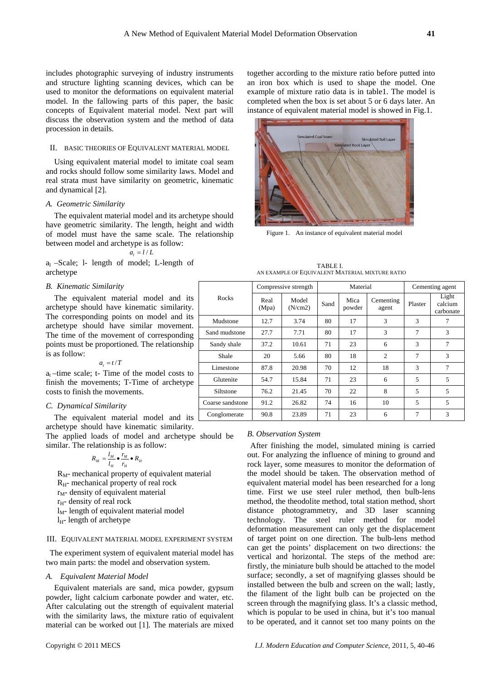includes photographic surveying of industry instruments and structure lighting scanning devices, which can be used to monitor the deformations on equivalent material model. In the fallowing parts of this paper, the basic concepts of Equivalent material model. Next part will discuss the observation system and the method of data procession in details.

#### II. BASIC THEORIES OF EQUIVALENT MATERIAL MODEL

Using equivalent material model to imitate coal seam and rocks should follow some similarity laws. Model and real strata must have similarity on geometric, kinematic and dynamical [2].

## *A. Geometric Similarity*

The equivalent material model and its archetype should have geometric similarity. The length, height and width of model must have the same scale. The relationship between model and archetype is as follow:

#### $a_i = l/L$

 $a_1$  –Scale; 1- length of model; L-length of archetype

### *B. Kinematic Similarity*

The equivalent material model and its archetype should have kinematic similarity. The corresponding points on model and its archetype should have similar movement. The time of the movement of corresponding points must be proportioned. The relationship is as follow:

$$
a_t = t/T
$$

 $a_t$  –time scale; t- Time of the model costs to finish the movements; T-Time of archetype costs to finish the movements.

#### *C. Dynamical Similarity*

The equivalent material model and its archetype should have kinematic similarity.

The applied loads of model and archetype should be similar. The relationship is as follow:

$$
R_M = \frac{l_M}{l_H} \bullet \frac{r_M}{r_H} \bullet R_H
$$

 $R_M$ - mechanical property of equivalent material  $R<sub>H</sub>$ - mechanical property of real rock  $r<sub>M</sub>$ - density of equivalent material  $r_{H}$ - density of real rock  $l_M$ - length of equivalent material model  $l_{H}$ - length of archetype

## III. EQUIVALENT MATERIAL MODEL EXPERIMENT SYSTEM

The experiment system of equivalent material model has two main parts: the model and observation system.

#### *A. Equivalent Material Model*

Equivalent materials are sand, mica powder, gypsum powder, light calcium carbonate powder and water, etc. After calculating out the strength of equivalent material with the similarity laws, the mixture ratio of equivalent material can be worked out [1]. The materials are mixed

together according to the mixture ratio before putted into an iron box which is used to shape the model. One example of mixture ratio data is in table1. The model is completed when the box is set about 5 or 6 days later. An instance of equivalent material model is showed in Fig.1.



Figure 1. An instance of equivalent material model

| TABLE L                                         |
|-------------------------------------------------|
| AN EXAMPLE OF EQUIVALENT MATERIAL MIXTURE RATIO |

| Rocks            | Compressive strength |                  | Material |                |                    | Cementing agent |                               |
|------------------|----------------------|------------------|----------|----------------|--------------------|-----------------|-------------------------------|
|                  | Real<br>(Mpa)        | Model<br>(N/cm2) | Sand     | Mica<br>powder | Cementing<br>agent | Plaster         | Light<br>calcium<br>carbonate |
| Mudstone         | 12.7                 | 3.74             | 80       | 17             | 3                  | 3               | 7                             |
| Sand mudstone    | 27.7                 | 7.71             | 80       | 17             | 3                  | $\tau$          | 3                             |
| Sandy shale      | 37.2                 | 10.61            | 71       | 23             | 6                  | 3               | 7                             |
| Shale            | 20                   | 5.66             | 80       | 18             | $\overline{2}$     | 7               | 3                             |
| Limestone        | 87.8                 | 20.98            | 70       | 12             | 18                 | 3               | 7                             |
| Glutenite        | 54.7                 | 15.84            | 71       | 23             | 6                  | 5               | 5                             |
| Siltstone        | 76.2                 | 21.45            | 70       | 22             | 8                  | 5               | 5                             |
| Coarse sandstone | 91.2                 | 26.82            | 74       | 16             | 10                 | 5               | 5                             |
| Conglomerate     | 90.8                 | 23.89            | 71       | 23             | 6                  | 7               | 3                             |

#### *B. Observation System*

After finishing the model, simulated mining is carried out. For analyzing the influence of mining to ground and rock layer, some measures to monitor the deformation of the model should be taken. The observation method of equivalent material model has been researched for a long time. First we use steel ruler method, then bulb-lens method, the theodolite method, total station method, short distance photogrammetry, and 3D laser scanning technology. The steel ruler method for model deformation measurement can only get the displacement of target point on one direction. The bulb-lens method can get the points' displacement on two directions: the vertical and horizontal. The steps of the method are: firstly, the miniature bulb should be attached to the model surface; secondly, a set of magnifying glasses should be installed between the bulb and screen on the wall; lastly, the filament of the light bulb can be projected on the screen through the magnifying glass. It's a classic method, which is popular to be used in china, but it's too manual to be operated, and it cannot set too many points on the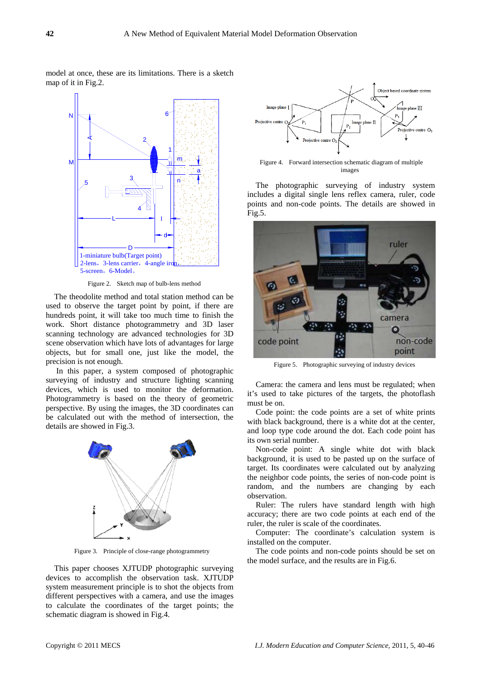

model at once, these are its limitations. There is a sketch

Figure 2. Sketch map of bulb-lens method

The theodolite method and total station method can be used to observe the target point by point, if there are hundreds point, it will take too much time to finish the work. Short distance photogrammetry and 3D laser scanning technology are advanced technologies for 3D scene observation which have lots of advantages for large objects, but for small one, just like the model, the precision is not enough.

 In this paper, a system composed of photographic surveying of industry and structure lighting scanning devices, which is used to monitor the deformation. Photogrammetry is based on the theory of geometric perspective. By using the images, the 3D coordinates can be calculated out with the method of intersection, the details are showed in Fig.3.



Figure 3. Principle of close-range photogrammetry

This paper chooses XJTUDP photographic surveying devices to accomplish the observation task. XJTUDP system measurement principle is to shot the objects from different perspectives with a camera, and use the images to calculate the coordinates of the target points; the schematic diagram is showed in Fig.4.



Figure 4. Forward intersection schematic diagram of multiple images

The photographic surveying of industry system includes a digital single lens reflex camera, ruler, code points and non-code points. The details are showed in Fig.5.



Figure 5. Photographic surveying of industry devices

Camera: the camera and lens must be regulated; when it's used to take pictures of the targets, the photoflash must be on.

Code point: the code points are a set of white prints with black background, there is a white dot at the center, and loop type code around the dot. Each code point has its own serial number.

Non-code point: A single white dot with black background, it is used to be pasted up on the surface of target. Its coordinates were calculated out by analyzing the neighbor code points, the series of non-code point is random, and the numbers are changing by each observation.

Ruler: The rulers have standard length with high accuracy; there are two code points at each end of the ruler, the ruler is scale of the coordinates.

Computer: The coordinate's calculation system is installed on the computer.

The code points and non-code points should be set on the model surface, and the results are in Fig.6.

map of it in Fig.2.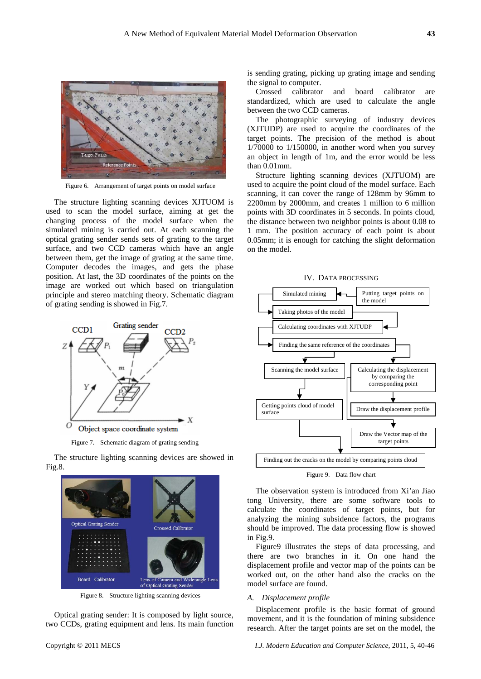

Figure 6. Arrangement of target points on model surface

The structure lighting scanning devices XJTUOM is used to scan the model surface, aiming at get the changing process of the model surface when the simulated mining is carried out. At each scanning the optical grating sender sends sets of grating to the target surface, and two CCD cameras which have an angle between them, get the image of grating at the same time. Computer decodes the images, and gets the phase position. At last, the 3D coordinates of the points on the image are worked out which based on triangulation principle and stereo matching theory. Schematic diagram of grating sending is showed in Fig.7.



Figure 7. Schematic diagram of grating sending

The structure lighting scanning devices are showed in Fig.8.



Figure 8. Structure lighting scanning devices

Optical grating sender: It is composed by light source, two CCDs, grating equipment and lens. Its main function is sending grating, picking up grating image and sending the signal to computer.

Crossed calibrator and board calibrator are standardized, which are used to calculate the angle between the two CCD cameras.

The photographic surveying of industry devices (XJTUDP) are used to acquire the coordinates of the target points. The precision of the method is about  $1/70000$  to  $1/150000$ , in another word when you survey an object in length of 1m, and the error would be less than 0.01mm.

Structure lighting scanning devices (XJTUOM) are used to acquire the point cloud of the model surface. Each scanning, it can cover the range of 128mm by 96mm to 2200mm by 2000mm, and creates 1 million to 6 million points with 3D coordinates in 5 seconds. In points cloud, the distance between two neighbor points is about 0.08 to 1 mm. The position accuracy of each point is about 0.05mm; it is enough for catching the slight deformation on the model.





Figure 9. Data flow chart

The observation system is introduced from Xi'an Jiao tong University, there are some software tools to calculate the coordinates of target points, but for analyzing the mining subsidence factors, the programs should be improved. The data processing flow is showed in Fig.9.

Figure9 illustrates the steps of data processing, and there are two branches in it. On one hand the displacement profile and vector map of the points can be worked out, on the other hand also the cracks on the model surface are found.

## *A. Displacement profile*

Displacement profile is the basic format of ground movement, and it is the foundation of mining subsidence research. After the target points are set on the model, the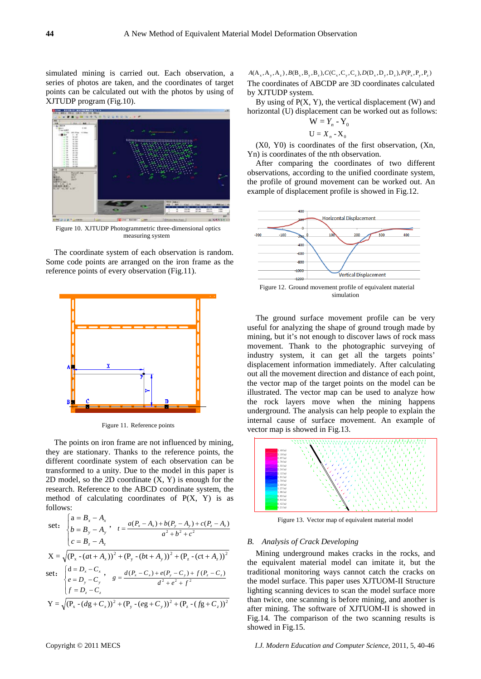simulated mining is carried out. Each observation, a series of photos are taken, and the coordinates of target points can be calculated out with the photos by using of XJTUDP program (Fig.10).



Figure 10. XJTUDP Photogrammetric three-dimensional optics measuring system

The coordinate system of each observation is random. Some code points are arranged on the iron frame as the reference points of every observation (Fig.11).



Figure 11. Reference points

The points on iron frame are not influenced by mining, they are stationary. Thanks to the reference points, the different coordinate system of each observation can be transformed to a unity. Due to the model in this paper is 2D model, so the 2D coordinate (X, Y) is enough for the research. Reference to the ABCD coordinate system, the method of calculating coordinates of  $P(X, Y)$  is as follows:

set: 
$$
\begin{cases} a = B_x - A_x \\ b = B_y - A_y \end{cases}
$$
,  $t = \frac{a(P_x - A_x) + b(P_y - A_y) + c(P_z - A_z)}{a^2 + b^2 + c^2}$   

$$
X = \sqrt{(P_x - (at + A_x))^2 + (P_y - (bt + A_y))^2 + (P_z - (ct + A_z))^2}
$$
  
set: 
$$
\begin{cases} d = D_x - C_x \\ e = D_y - C_y \end{cases}
$$
,  $g = \frac{d(P_x - C_x) + e(P_y - C_y) + f(P_z - C_z)}{d^2 + e^2 + f^2}$   

$$
Y = \sqrt{(P_x - (dg + C_x))^2 + (P_y - (eg + C_y))^2 + (P_z - (fg + C_z))^2}
$$

 $A(A_x, A_y, A_z)$ ,  $B(B_x, B_y, B_z)$ ,  $C(C_x, C_y, C_z)$ ,  $D(D_x, D_y, D_z)$ ,  $P(P_x, P_y, P_z)$ The coordinates of ABCDP are 3D coordinates calculated by XJTUDP system.

By using of  $P(X, Y)$ , the vertical displacement (W) and horizontal (U) displacement can be worked out as follows:

$$
U = X_n - X_0
$$

 $W = Y_n - Y_0$ <br>  $U = X_n - X_0$ <br>
(X0, Y0) is coordinates of the first observation, (Xn, Yn) is coordinates of the nth observation.

After comparing the coordinates of two different observations, according to the unified coordinate system, the profile of ground movement can be worked out. An example of displacement profile is showed in Fig.12.



Figure 12. Ground movement profile of equivalent material simulation

The ground surface movement profile can be very useful for analyzing the shape of ground trough made by mining, but it's not enough to discover laws of rock mass movement. Thank to the photographic surveying of industry system, it can get all the targets points' displacement information immediately. After calculating out all the movement direction and distance of each point, the vector map of the target points on the model can be illustrated. The vector map can be used to analyze how the rock layers move when the mining happens underground. The analysis can help people to explain the internal cause of surface movement. An example of vector map is showed in Fig.13.



Figure 13. Vector map of equivalent material model

## *B. Analysis of Crack Developing*

Mining underground makes cracks in the rocks, and the equivalent material model can imitate it, but the traditional monitoring ways cannot catch the cracks on the model surface. This paper uses XJTUOM-II Structure lighting scanning devices to scan the model surface more than twice, one scanning is before mining, and another is after mining. The software of XJTUOM-II is showed in Fig.14. The comparison of the two scanning results is showed in Fig.15.

Copyright © 2011 MECS *I.J. Modern Education and Computer Science,* 2011, 5, 40-46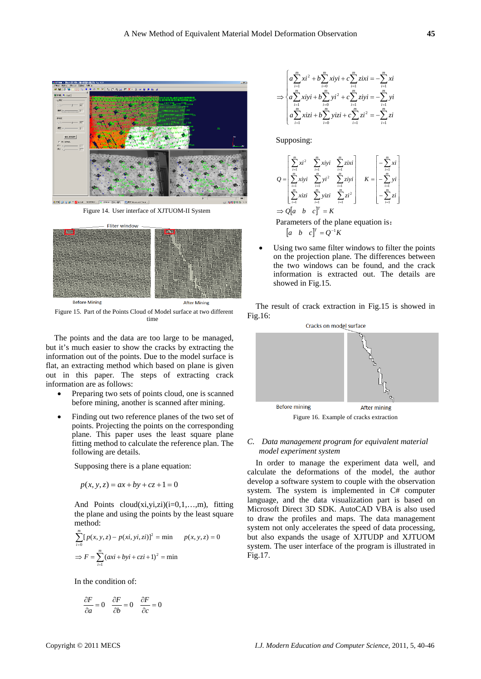

Figure 14. User interface of XJTUOM-II System



Figure 15. Part of the Points Cloud of Model surface at two different time

The points and the data are too large to be managed, but it's much easier to show the cracks by extracting the information out of the points. Due to the model surface is flat, an extracting method which based on plane is given out in this paper. The steps of extracting crack information are as follows:

- Preparing two sets of points cloud, one is scanned before mining, another is scanned after mining.
- Finding out two reference planes of the two set of points. Projecting the points on the corresponding plane. This paper uses the least square plane fitting method to calculate the reference plan. The following are details.

Supposing there is a plane equation:

$$
p(x, y, z) = ax + by + cz + 1 = 0
$$

And Points  $cloud(xi,yi,zi)(i=0,1,...,m)$ , fitting the plane and using the points by the least square method:

$$
\sum_{i=0}^{m} [p(x, y, z) - p(xi, yi, zi)]^{2} = \min p(x, y, z) = 0
$$
  
\n
$$
\Rightarrow F = \sum_{i=1}^{m} (axi + byi + czi + 1)^{2} = \min
$$

In the condition of:

$$
\frac{\partial F}{\partial a} = 0 \quad \frac{\partial F}{\partial b} = 0 \quad \frac{\partial F}{\partial c} = 0
$$

$$
\Rightarrow \begin{cases} a \sum_{i=1}^{m} xi^{2} + b \sum_{i=0}^{m} xiyi + c \sum_{i=1}^{m} zixi = -\sum_{i=1}^{m} xi \\ a \sum_{i=1}^{m} xiyi + b \sum_{i=0}^{m} yi^{2} + c \sum_{i=1}^{m} ziyi = -\sum_{i=1}^{m} yi \\ a \sum_{i=1}^{m} xizi + b \sum_{i=0}^{m} yizi + c \sum_{i=1}^{m} zi^{2} = -\sum_{i=1}^{m} zi \end{cases}
$$

Supposing:

$$
Q = \begin{bmatrix} \sum_{i=1}^{m} xi^{2} & \sum_{i=1}^{m} xiyi & \sum_{i=1}^{m} zixi \\ \sum_{i=1}^{m} xiyi & \sum_{i=1}^{m} yi^{2} & \sum_{i=1}^{m} ziyi \\ \sum_{i=1}^{m} xizi & \sum_{i=1}^{m} yizi & \sum_{i=1}^{m} zi^{2} \end{bmatrix} \quad K = \begin{bmatrix} -\sum_{i=1}^{m} xi \\ -\sum_{i=1}^{m} yi \\ -\sum_{i=1}^{m} zi \\ -\sum_{i=1}^{m} zi \end{bmatrix}
$$
  
\n
$$
\Rightarrow Q[a \quad b \quad c]^{T} = K
$$

Parameters of the plane equation is:  $\begin{bmatrix} a & b & c \end{bmatrix}^T = Q^{-1}K$ 

Using two same filter windows to filter the points on the projection plane. The differences between the two windows can be found, and the crack information is extracted out. The details are showed in Fig.15.

The result of crack extraction in Fig.15 is showed in Fig.16:



Figure 16. Example of cracks extraction

## *C. Data management program for equivalent material model experiment system*

In order to manage the experiment data well, and calculate the deformations of the model, the author develop a software system to couple with the observation system. The system is implemented in C# computer language, and the data visualization part is based on Microsoft Direct 3D SDK. AutoCAD VBA is also used to draw the profiles and maps. The data management system not only accelerates the speed of data processing, but also expands the usage of XJTUDP and XJTUOM system. The user interface of the program is illustrated in Fig.17.